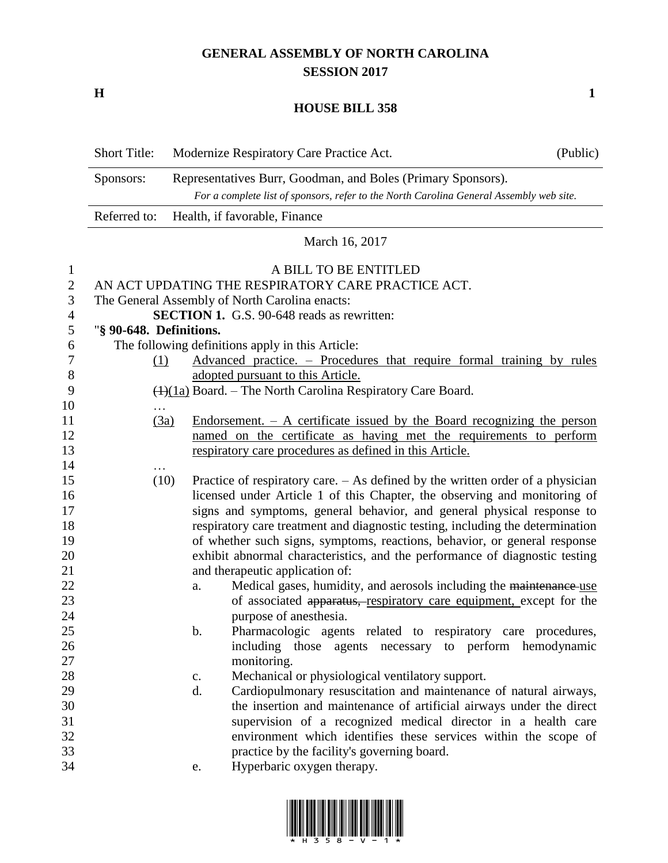## **GENERAL ASSEMBLY OF NORTH CAROLINA SESSION 2017**

**H 1**

## **HOUSE BILL 358**

|                          | <b>Short Title:</b>                                                                                                                                     |               | Modernize Respiratory Care Practice Act.                                         | (Public) |  |  |  |
|--------------------------|---------------------------------------------------------------------------------------------------------------------------------------------------------|---------------|----------------------------------------------------------------------------------|----------|--|--|--|
|                          | Sponsors:                                                                                                                                               |               |                                                                                  |          |  |  |  |
|                          | Representatives Burr, Goodman, and Boles (Primary Sponsors).<br>For a complete list of sponsors, refer to the North Carolina General Assembly web site. |               |                                                                                  |          |  |  |  |
|                          | Referred to:<br>Health, if favorable, Finance                                                                                                           |               |                                                                                  |          |  |  |  |
|                          |                                                                                                                                                         |               | March 16, 2017                                                                   |          |  |  |  |
| $\mathbf{1}$             |                                                                                                                                                         |               | A BILL TO BE ENTITLED                                                            |          |  |  |  |
| $\overline{2}$           | AN ACT UPDATING THE RESPIRATORY CARE PRACTICE ACT.                                                                                                      |               |                                                                                  |          |  |  |  |
| $\mathfrak{Z}$           | The General Assembly of North Carolina enacts:                                                                                                          |               |                                                                                  |          |  |  |  |
| $\overline{\mathcal{A}}$ | <b>SECTION 1.</b> G.S. 90-648 reads as rewritten:                                                                                                       |               |                                                                                  |          |  |  |  |
| 5                        | "§ 90-648. Definitions.                                                                                                                                 |               |                                                                                  |          |  |  |  |
| 6                        |                                                                                                                                                         |               | The following definitions apply in this Article:                                 |          |  |  |  |
| 7                        | (1)                                                                                                                                                     |               | Advanced practice. – Procedures that require formal training by rules            |          |  |  |  |
| $8\,$                    |                                                                                                                                                         |               | adopted pursuant to this Article.                                                |          |  |  |  |
| 9                        | $\left(\frac{1}{1a}\right)$ Board. – The North Carolina Respiratory Care Board.                                                                         |               |                                                                                  |          |  |  |  |
| 10                       | .                                                                                                                                                       |               |                                                                                  |          |  |  |  |
| 11                       | (3a)                                                                                                                                                    |               | Endorsement. $-$ A certificate issued by the Board recognizing the person        |          |  |  |  |
| 12                       |                                                                                                                                                         |               | named on the certificate as having met the requirements to perform               |          |  |  |  |
| 13                       |                                                                                                                                                         |               | respiratory care procedures as defined in this Article.                          |          |  |  |  |
| 14                       |                                                                                                                                                         |               |                                                                                  |          |  |  |  |
| 15                       | (10)                                                                                                                                                    |               | Practice of respiratory care. $-$ As defined by the written order of a physician |          |  |  |  |
| 16                       |                                                                                                                                                         |               | licensed under Article 1 of this Chapter, the observing and monitoring of        |          |  |  |  |
| 17                       | signs and symptoms, general behavior, and general physical response to                                                                                  |               |                                                                                  |          |  |  |  |
| 18                       | respiratory care treatment and diagnostic testing, including the determination                                                                          |               |                                                                                  |          |  |  |  |
| 19                       | of whether such signs, symptoms, reactions, behavior, or general response                                                                               |               |                                                                                  |          |  |  |  |
| 20                       | exhibit abnormal characteristics, and the performance of diagnostic testing                                                                             |               |                                                                                  |          |  |  |  |
| 21                       | and therapeutic application of:                                                                                                                         |               |                                                                                  |          |  |  |  |
| 22                       |                                                                                                                                                         | a.            | Medical gases, humidity, and aerosols including the maintenance use              |          |  |  |  |
| 23                       |                                                                                                                                                         |               | of associated apparatus, respiratory care equipment, except for the              |          |  |  |  |
| 24                       |                                                                                                                                                         |               | purpose of anesthesia.                                                           |          |  |  |  |
| 25                       |                                                                                                                                                         | b.            | Pharmacologic agents related to respiratory care procedures,                     |          |  |  |  |
| 26                       |                                                                                                                                                         |               | including those agents necessary to perform hemodynamic                          |          |  |  |  |
| 27                       |                                                                                                                                                         |               | monitoring.                                                                      |          |  |  |  |
| 28                       |                                                                                                                                                         | $C_{\bullet}$ | Mechanical or physiological ventilatory support.                                 |          |  |  |  |
| 29                       |                                                                                                                                                         | d.            | Cardiopulmonary resuscitation and maintenance of natural airways,                |          |  |  |  |
| 30                       |                                                                                                                                                         |               | the insertion and maintenance of artificial airways under the direct             |          |  |  |  |
| 31                       |                                                                                                                                                         |               | supervision of a recognized medical director in a health care                    |          |  |  |  |
| 32                       |                                                                                                                                                         |               | environment which identifies these services within the scope of                  |          |  |  |  |
| 33                       |                                                                                                                                                         |               | practice by the facility's governing board.                                      |          |  |  |  |
| 34                       |                                                                                                                                                         | e.            | Hyperbaric oxygen therapy.                                                       |          |  |  |  |
|                          |                                                                                                                                                         |               |                                                                                  |          |  |  |  |

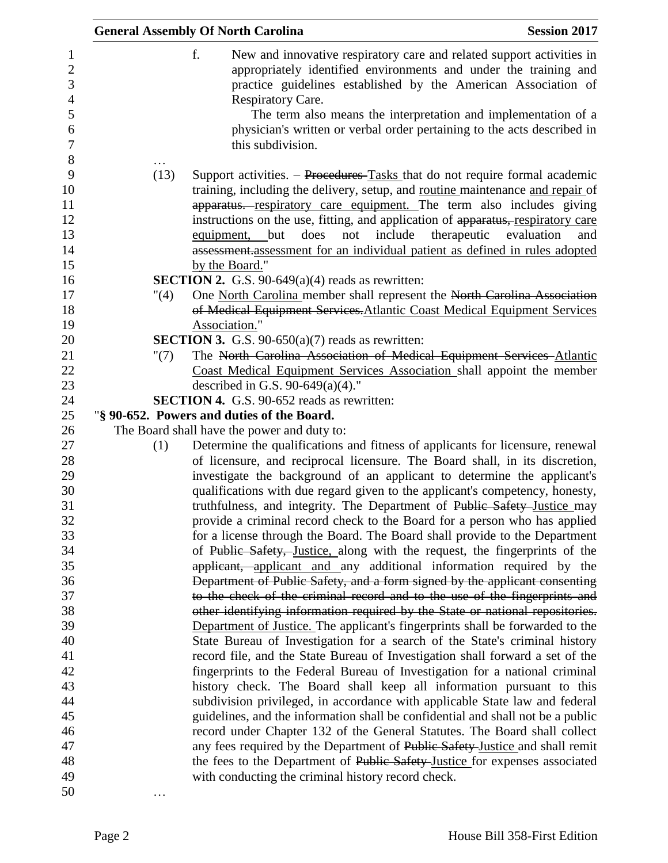|                      | <b>General Assembly Of North Carolina</b>                                                                                                                                                                                                                                                                                                                                                                                                                                               | <b>Session 2017</b> |
|----------------------|-----------------------------------------------------------------------------------------------------------------------------------------------------------------------------------------------------------------------------------------------------------------------------------------------------------------------------------------------------------------------------------------------------------------------------------------------------------------------------------------|---------------------|
|                      | f.<br>New and innovative respiratory care and related support activities in<br>appropriately identified environments and under the training and<br>practice guidelines established by the American Association of<br>Respiratory Care.<br>The term also means the interpretation and implementation of a<br>physician's written or verbal order pertaining to the acts described in<br>this subdivision.                                                                                |                     |
| (13)                 | Support activities. – Procedures-Tasks that do not require formal academic<br>training, including the delivery, setup, and routine maintenance and repair of<br>apparatus. respiratory care equipment. The term also includes giving<br>instructions on the use, fitting, and application of apparatus, respiratory care<br>include<br>therapeutic<br>does<br>but<br>not<br>equipment,<br>assessment.assessment for an individual patient as defined in rules adopted<br>by the Board." | evaluation<br>and   |
|                      | <b>SECTION 2.</b> G.S. 90-649 $(a)(4)$ reads as rewritten:                                                                                                                                                                                                                                                                                                                                                                                                                              |                     |
| $^{\prime\prime}(4)$ | One North Carolina member shall represent the North Carolina Association                                                                                                                                                                                                                                                                                                                                                                                                                |                     |
|                      | of Medical Equipment Services. Atlantic Coast Medical Equipment Services                                                                                                                                                                                                                                                                                                                                                                                                                |                     |
|                      | Association."                                                                                                                                                                                                                                                                                                                                                                                                                                                                           |                     |
|                      | <b>SECTION 3.</b> G.S. 90-650(a)(7) reads as rewritten:                                                                                                                                                                                                                                                                                                                                                                                                                                 |                     |
| " $(7)$              | The North Carolina Association of Medical Equipment Services Atlantic                                                                                                                                                                                                                                                                                                                                                                                                                   |                     |
|                      | Coast Medical Equipment Services Association shall appoint the member                                                                                                                                                                                                                                                                                                                                                                                                                   |                     |
|                      | described in G.S. 90-649(a)(4)."                                                                                                                                                                                                                                                                                                                                                                                                                                                        |                     |
|                      | <b>SECTION 4.</b> G.S. 90-652 reads as rewritten:                                                                                                                                                                                                                                                                                                                                                                                                                                       |                     |
|                      | "§ 90-652. Powers and duties of the Board.                                                                                                                                                                                                                                                                                                                                                                                                                                              |                     |
|                      | The Board shall have the power and duty to:                                                                                                                                                                                                                                                                                                                                                                                                                                             |                     |
| (1)                  | Determine the qualifications and fitness of applicants for licensure, renewal                                                                                                                                                                                                                                                                                                                                                                                                           |                     |
|                      | of licensure, and reciprocal licensure. The Board shall, in its discretion,                                                                                                                                                                                                                                                                                                                                                                                                             |                     |
|                      | investigate the background of an applicant to determine the applicant's                                                                                                                                                                                                                                                                                                                                                                                                                 |                     |
|                      | qualifications with due regard given to the applicant's competency, honesty,                                                                                                                                                                                                                                                                                                                                                                                                            |                     |
|                      | truthfulness, and integrity. The Department of Public Safety Justice may                                                                                                                                                                                                                                                                                                                                                                                                                |                     |
|                      | provide a criminal record check to the Board for a person who has applied                                                                                                                                                                                                                                                                                                                                                                                                               |                     |
|                      | for a license through the Board. The Board shall provide to the Department                                                                                                                                                                                                                                                                                                                                                                                                              |                     |
|                      | of Public Safety, Justice, along with the request, the fingerprints of the                                                                                                                                                                                                                                                                                                                                                                                                              |                     |
|                      | applicant, applicant and any additional information required by the                                                                                                                                                                                                                                                                                                                                                                                                                     |                     |
|                      | Department of Public Safety, and a form signed by the applicant consenting                                                                                                                                                                                                                                                                                                                                                                                                              |                     |
|                      | to the check of the criminal record and to the use of the fingerprints and                                                                                                                                                                                                                                                                                                                                                                                                              |                     |
|                      | other identifying information required by the State or national repositories.                                                                                                                                                                                                                                                                                                                                                                                                           |                     |
|                      | Department of Justice. The applicant's fingerprints shall be forwarded to the                                                                                                                                                                                                                                                                                                                                                                                                           |                     |
|                      | State Bureau of Investigation for a search of the State's criminal history                                                                                                                                                                                                                                                                                                                                                                                                              |                     |
|                      | record file, and the State Bureau of Investigation shall forward a set of the                                                                                                                                                                                                                                                                                                                                                                                                           |                     |
|                      | fingerprints to the Federal Bureau of Investigation for a national criminal                                                                                                                                                                                                                                                                                                                                                                                                             |                     |
|                      | history check. The Board shall keep all information pursuant to this                                                                                                                                                                                                                                                                                                                                                                                                                    |                     |
|                      | subdivision privileged, in accordance with applicable State law and federal                                                                                                                                                                                                                                                                                                                                                                                                             |                     |
|                      | guidelines, and the information shall be confidential and shall not be a public                                                                                                                                                                                                                                                                                                                                                                                                         |                     |
|                      | record under Chapter 132 of the General Statutes. The Board shall collect<br>any fees required by the Department of Public Safety-Justice and shall remit                                                                                                                                                                                                                                                                                                                               |                     |
|                      | the fees to the Department of Public Safety-Justice for expenses associated                                                                                                                                                                                                                                                                                                                                                                                                             |                     |
|                      | with conducting the criminal history record check.                                                                                                                                                                                                                                                                                                                                                                                                                                      |                     |
|                      |                                                                                                                                                                                                                                                                                                                                                                                                                                                                                         |                     |
|                      |                                                                                                                                                                                                                                                                                                                                                                                                                                                                                         |                     |